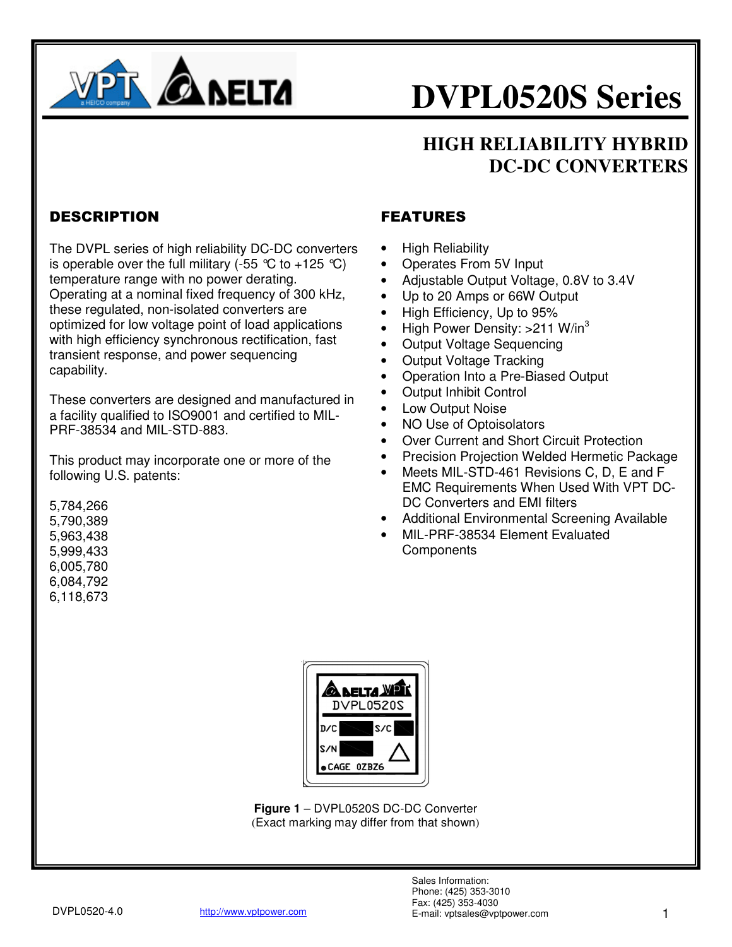

### **HIGH RELIABILITY HYBRID DC-DC CONVERTERS**

### DESCRIPTION

The DVPL series of high reliability DC-DC converters is operable over the full military (-55  $\degree$ C to +125  $\degree$ C) temperature range with no power derating. Operating at a nominal fixed frequency of 300 kHz, these regulated, non-isolated converters are optimized for low voltage point of load applications with high efficiency synchronous rectification, fast transient response, and power sequencing capability.

These converters are designed and manufactured in a facility qualified to ISO9001 and certified to MIL-PRF-38534 and MIL-STD-883.

This product may incorporate one or more of the following U.S. patents:

5,784,266 5,790,389 5,963,438 5,999,433 6,005,780 6,084,792 6,118,673

### FEATURES

- High Reliability
- Operates From 5V Input
- Adjustable Output Voltage, 0.8V to 3.4V
- Up to 20 Amps or 66W Output
- High Efficiency, Up to 95%
- High Power Density:  $>211$  W/in<sup>3</sup>
- Output Voltage Sequencing
- Output Voltage Tracking
- Operation Into a Pre-Biased Output
- Output Inhibit Control
- Low Output Noise
- NO Use of Optoisolators
- Over Current and Short Circuit Protection
- Precision Projection Welded Hermetic Package
- Meets MIL-STD-461 Revisions C, D, E and F EMC Requirements When Used With VPT DC-DC Converters and EMI filters
- Additional Environmental Screening Available
- MIL-PRF-38534 Element Evaluated **Components**



**Figure 1** – DVPL0520S DC-DC Converter (Exact marking may differ from that shown)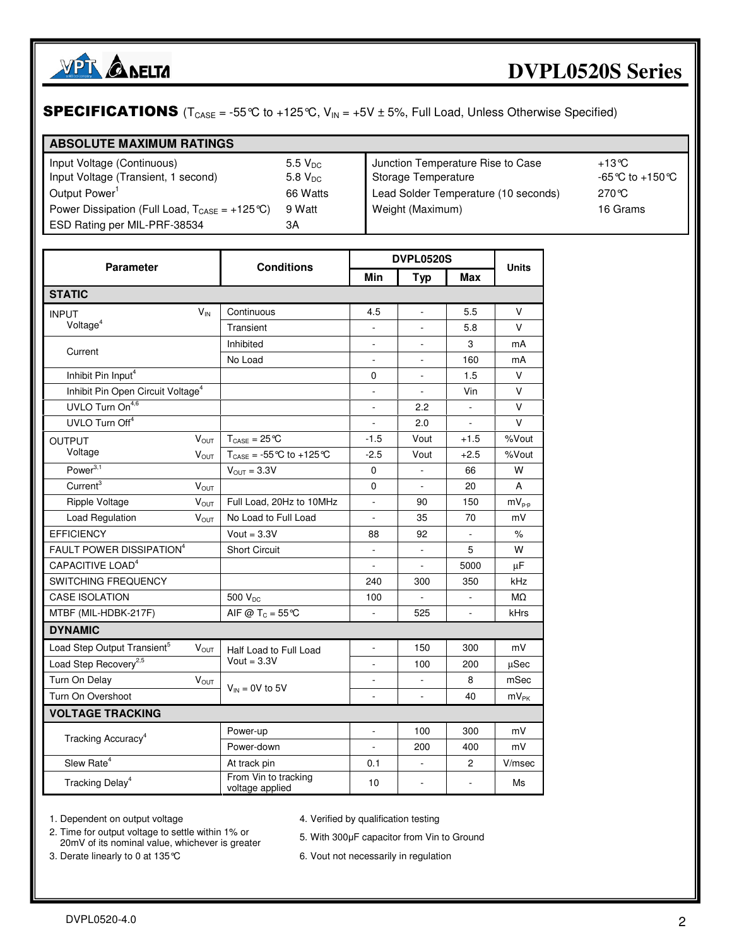

### **SPECIFICATIONS** ( $T_{\text{CASE}} = -55^{\circ}$ C to  $+125^{\circ}$ C,  $V_{\text{IN}} = +5V \pm 5$ %, Full Load, Unless Otherwise Specified)

| <b>ABSOLUTE MAXIMUM RATINGS</b>                                    |                       |                                      |                   |
|--------------------------------------------------------------------|-----------------------|--------------------------------------|-------------------|
| Input Voltage (Continuous)                                         | $5.5 V_{DC}$          | Junction Temperature Rise to Case    | +13℃              |
| Input Voltage (Transient, 1 second)                                | $5.8$ V <sub>DC</sub> | Storage Temperature                  | -65 °C to +150 °C |
| Output Power <sup>1</sup>                                          | 66 Watts              | Lead Solder Temperature (10 seconds) | 270 ℃             |
| Power Dissipation (Full Load, $T_{\text{CASE}} = +125 \degree C$ ) | 9 Watt                | Weight (Maximum)                     | 16 Grams          |
| ESD Rating per MIL-PRF-38534                                       | ЗΑ                    |                                      |                   |

| <b>Parameter</b>                              |                         | <b>Conditions</b>                                   | <b>DVPL0520S</b>         |                          |                | <b>Units</b>  |
|-----------------------------------------------|-------------------------|-----------------------------------------------------|--------------------------|--------------------------|----------------|---------------|
|                                               |                         |                                                     | Min                      | <b>Typ</b>               | Max            |               |
| <b>STATIC</b>                                 |                         |                                                     |                          |                          |                |               |
| <b>INPUT</b>                                  | $V_{IN}$                | Continuous                                          | 4.5                      | ä,                       | 5.5            | V             |
| Voltage <sup>4</sup>                          |                         | Transient                                           |                          |                          | 5.8            | $\vee$        |
| Current                                       |                         | Inhibited                                           | $\overline{\phantom{a}}$ | $\overline{\phantom{a}}$ | 3              | mA            |
|                                               |                         | No Load                                             |                          |                          | 160            | mA            |
| Inhibit Pin Input <sup>4</sup>                |                         |                                                     | 0                        | ä,                       | 1.5            | V             |
| Inhibit Pin Open Circuit Voltage <sup>4</sup> |                         |                                                     | $\bar{a}$                | $\sim$                   | Vin            | V             |
| UVLO Turn On <sup>4,6</sup>                   |                         |                                                     |                          | 2.2                      | $\mathbf{r}$   | $\vee$        |
| UVLO Turn Off <sup>4</sup>                    |                         |                                                     |                          | 2.0                      |                | $\vee$        |
| <b>OUTPUT</b>                                 | $V_{OUT}$               | $T_{\text{CASE}} = 25 \text{°C}$                    | $-1.5$                   | Vout                     | $+1.5$         | %Vout         |
| Voltage                                       | VOUT                    | $T_{\text{CASE}} = -55^{\circ}C$ to $+125^{\circ}C$ | $-2.5$                   | Vout                     | $+2.5$         | %Vout         |
| Power $3,1$                                   |                         | $V_{OUT} = 3.3V$                                    | 0                        | $\Box$                   | 66             | W             |
| Current <sup>3</sup>                          | $V_{OUT}$               |                                                     | 0                        | $\sim$                   | 20             | A             |
| Ripple Voltage                                | <b>Vout</b>             | Full Load, 20Hz to 10MHz                            | L.                       | 90                       | 150            | $mV_{p-p}$    |
| Load Regulation                               | <b>V</b> <sub>OUT</sub> | No Load to Full Load                                | L.                       | 35                       | 70             | mV            |
| <b>EFFICIENCY</b>                             |                         | Vout = $3.3V$                                       | 88                       | 92                       |                | $\%$          |
| FAULT POWER DISSIPATION <sup>4</sup>          |                         | <b>Short Circuit</b>                                |                          |                          | 5              | W             |
| CAPACITIVE LOAD <sup>4</sup>                  |                         |                                                     |                          | $\Box$                   | 5000           | μF            |
| <b>SWITCHING FREQUENCY</b>                    |                         |                                                     | 240                      | 300                      | 350            | kHz           |
| <b>CASE ISOLATION</b>                         |                         | 500 V <sub>pc</sub>                                 | 100                      | $\mathbf{r}$             |                | MΩ            |
| MTBF (MIL-HDBK-217F)                          |                         | AIF @ $T_c = 55^{\circ}$ C                          |                          | 525                      |                | kHrs          |
| <b>DYNAMIC</b>                                |                         |                                                     |                          |                          |                |               |
| Load Step Output Transient <sup>5</sup>       | $V_{OUT}$               | Half Load to Full Load                              | $\Box$                   | 150                      | 300            | mV            |
| Load Step Recovery <sup>2,5</sup>             |                         | Vout = $3.3V$                                       |                          | 100                      | 200            | μSec          |
| Turn On Delay                                 | $V_{OUT}$               |                                                     |                          |                          | 8              | mSec          |
| Turn On Overshoot                             |                         | $V_{IN} = 0V$ to 5V                                 |                          | $\overline{\phantom{a}}$ | 40             | $mv_{\rm PK}$ |
| <b>VOLTAGE TRACKING</b>                       |                         |                                                     |                          |                          |                |               |
|                                               |                         | Power-up                                            | $\sim$                   | 100                      | 300            | mV            |
| Tracking Accuracy <sup>4</sup>                |                         | Power-down                                          |                          | 200                      | 400            | mV            |
| Slew Rate <sup>4</sup>                        |                         | At track pin                                        | 0.1                      | $\Box$                   | $\overline{c}$ | V/msec        |
| Tracking Delay <sup>4</sup>                   |                         | From Vin to tracking<br>voltage applied             | 10                       | $\sim$                   | ÷,             | Ms            |

1. Dependent on output voltage and the state of the Verified by qualification testing

2. Time for output voltage to settle within 1% or 1 Ime for output voltage to settle within 1% or 5. With 300μF capacitor from Vin to Ground 20mV of its nominal value, whichever is greater

3. Derate linearly to 0 at 135°C 6. Vout not necessarily in regulation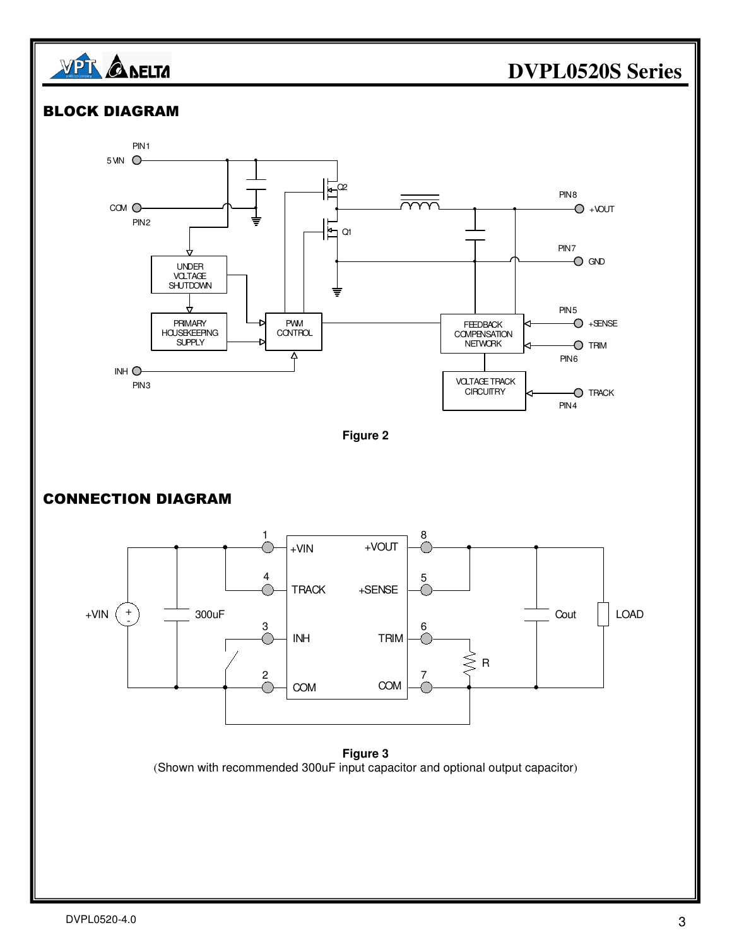



**Figure 3**  (Shown with recommended 300uF input capacitor and optional output capacitor)

#### $DVPL0520-4.0$  3

### **DVPL0520S Series**

 $-$ UOV+ $-$ 

 $O$  GND

 $O +$ SENSE

O TRIM

 $O$  TRACK

PIN<sub>8</sub>

PIN<sub>7</sub>

PIN<sub>5</sub>

PIN 4

PIN<sub>6</sub>

**FEEDBACK COMPENSATION** NETWORK

VOLTAGE TRACK **CIRCUITRY**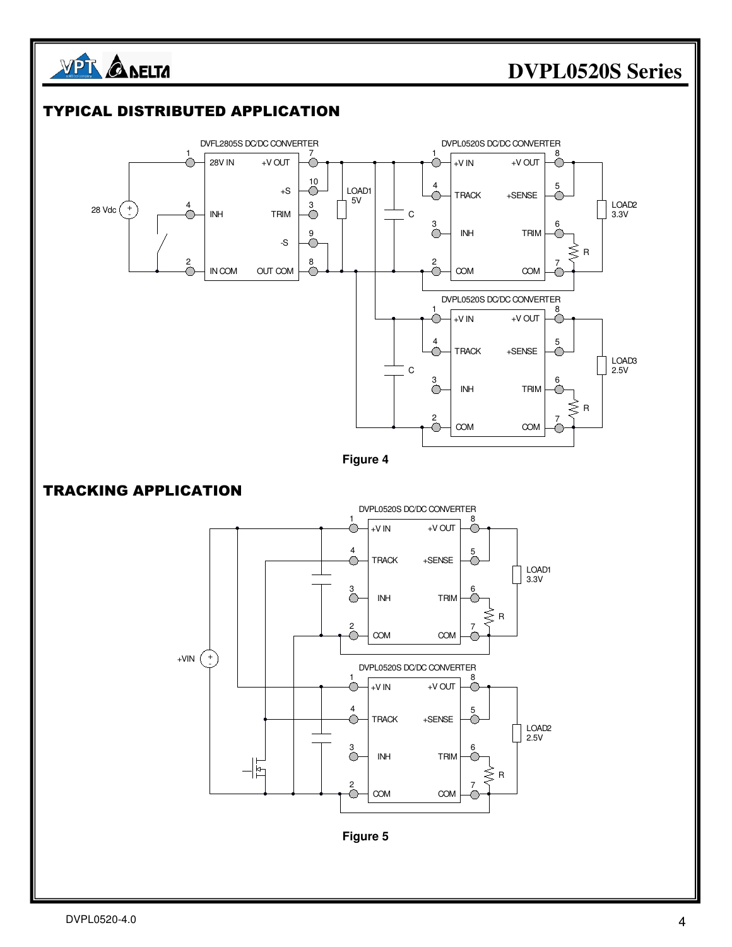

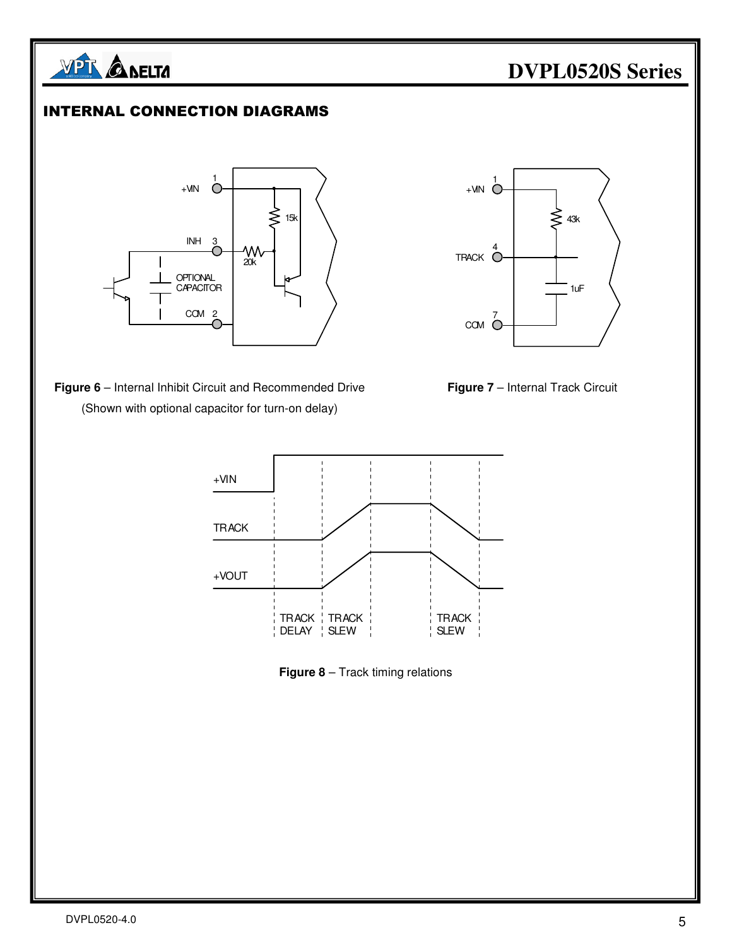

#### INTERNAL CONNECTION DIAGRAMS



**Figure 6** – Internal Inhibit Circuit and Recommended Drive **Figure 7** – Internal Track Circuit (Shown with optional capacitor for turn-on delay)







**Figure 8** – Track timing relations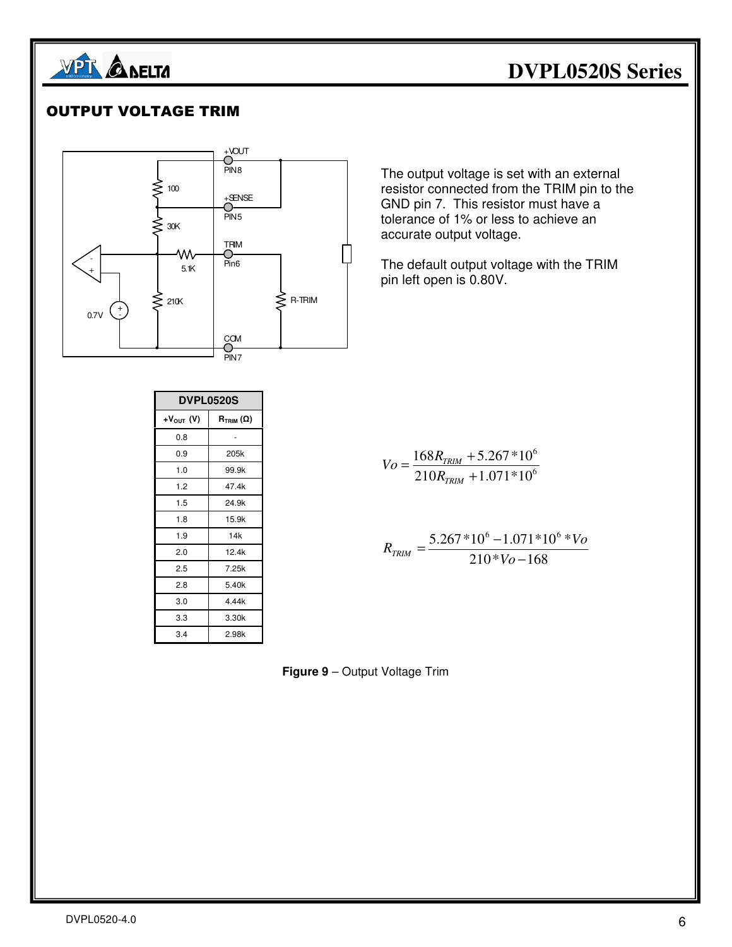

#### OUTPUT VOLTAGE TRIM



| <b>DVPL0520S</b> |                                         |  |
|------------------|-----------------------------------------|--|
| $+V_{OUT}$ (V)   | $\bm{\mathsf{R}}_{\text{TRIM}}(\Omega)$ |  |
| 0.8              |                                         |  |
| 0.9              | 205k                                    |  |
| 1.0              | 99.9k                                   |  |
| 1.2              | 47.4k                                   |  |
| 1.5              | 24.9k                                   |  |
| 1.8              | 15.9k                                   |  |
| 1.9              | 14k                                     |  |
| 2.0              | 12.4k                                   |  |
| 2.5              | 7.25k                                   |  |
| 2.8              | 5.40k                                   |  |
| 3.0              | 4.44k                                   |  |
| 3.3              | 3.30k                                   |  |
| 3.4              | 2.98k                                   |  |

The output voltage is set with an external resistor connected from the TRIM pin to the GND pin 7. This resistor must have a tolerance of 1% or less to achieve an accurate output voltage.

The default output voltage with the TRIM pin left open is 0.80V.

$$
V_O = \frac{168R_{TRIM} + 5.267 * 10^6}{210R_{TRIM} + 1.071 * 10^6}
$$

$$
R_{TRIM} = \frac{5.267 * 10^6 - 1.071 * 10^6 * V_o}{210 * V_o - 168}
$$

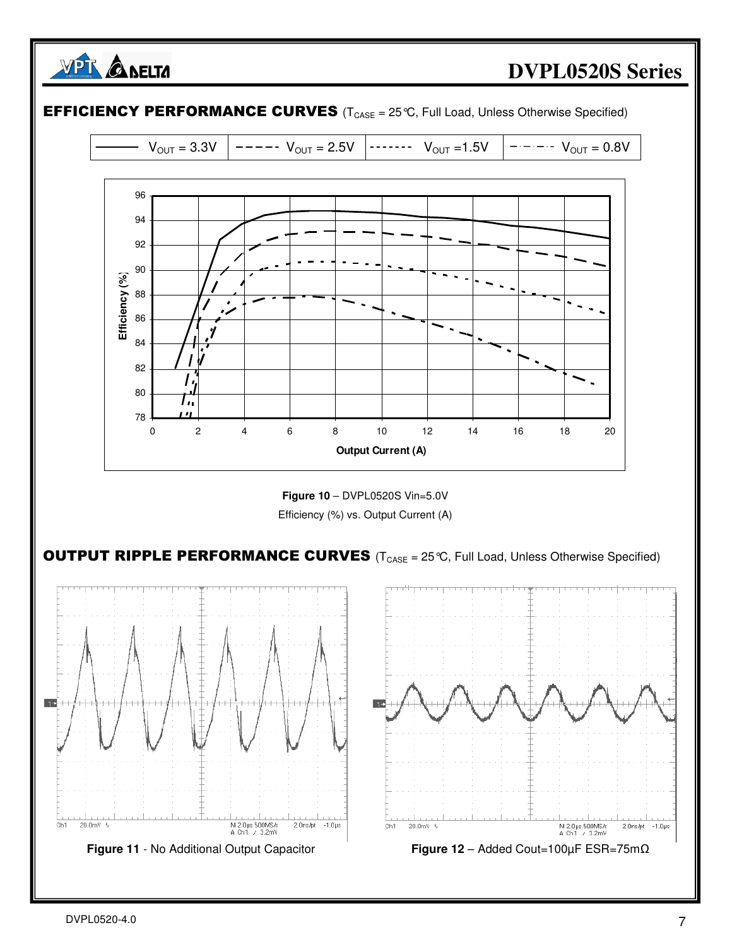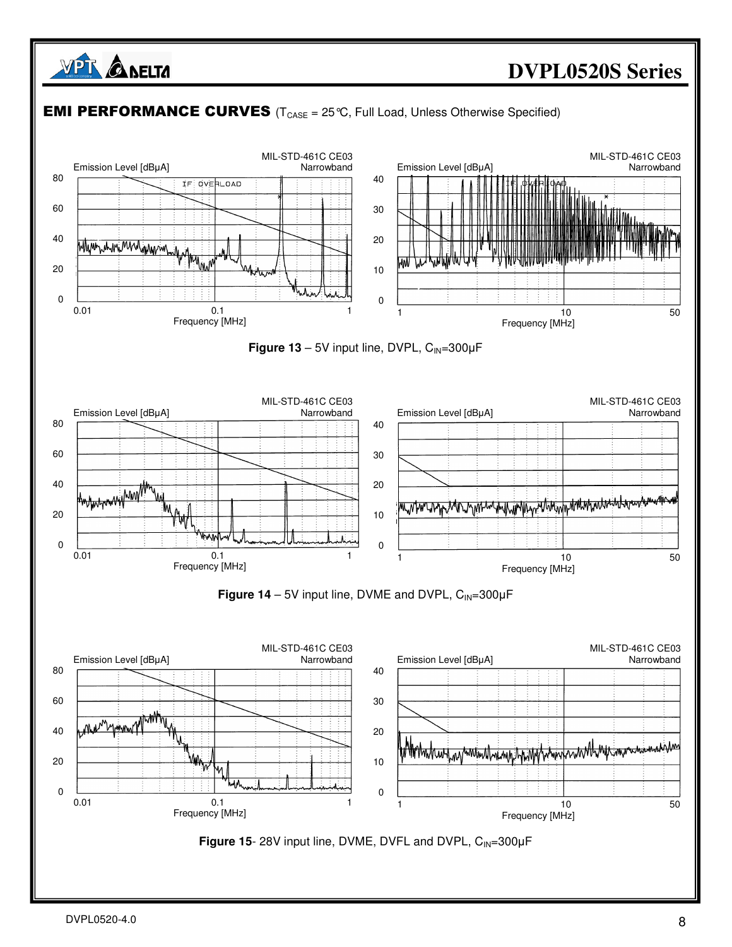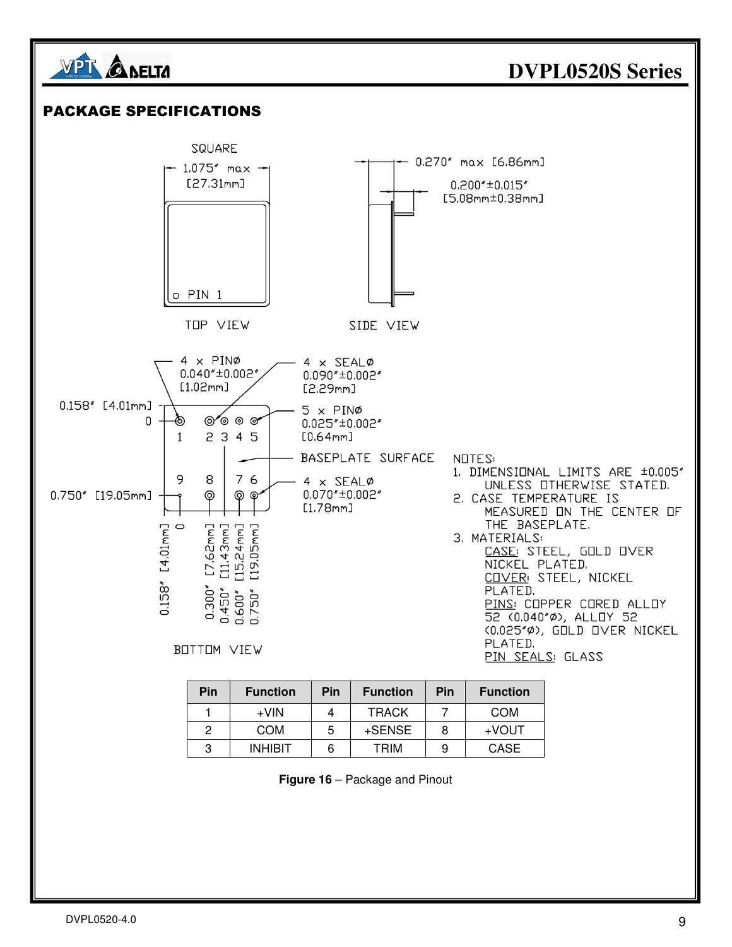![](_page_8_Figure_0.jpeg)

| Figure 16 - Package and Pinout |  |
|--------------------------------|--|
|--------------------------------|--|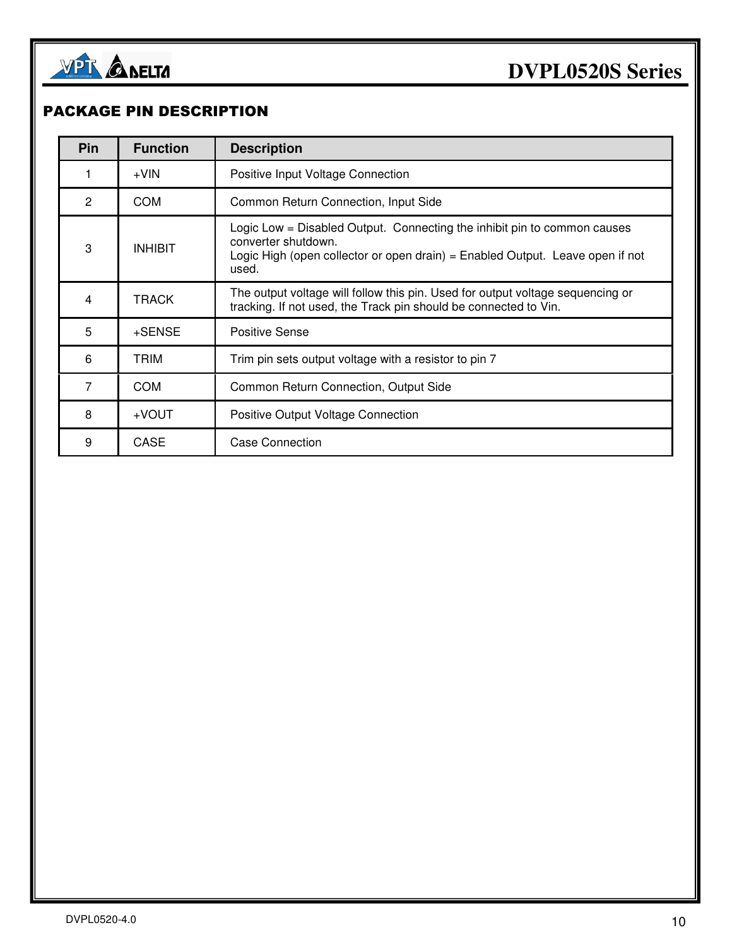![](_page_9_Picture_0.jpeg)

#### PACKAGE PIN DESCRIPTION

| Pin            | <b>Function</b> | <b>Description</b>                                                                                                                                                                        |
|----------------|-----------------|-------------------------------------------------------------------------------------------------------------------------------------------------------------------------------------------|
|                | $+V$ IN         | Positive Input Voltage Connection                                                                                                                                                         |
| $\overline{2}$ | COM             | Common Return Connection, Input Side                                                                                                                                                      |
| 3              | <b>INHIBIT</b>  | Logic Low = Disabled Output. Connecting the inhibit pin to common causes<br>converter shutdown.<br>Logic High (open collector or open drain) = Enabled Output. Leave open if not<br>used. |
| 4              | <b>TRACK</b>    | The output voltage will follow this pin. Used for output voltage sequencing or<br>tracking. If not used, the Track pin should be connected to Vin.                                        |
| 5              | +SENSE          | Positive Sense                                                                                                                                                                            |
| 6              | TRIM            | Trim pin sets output voltage with a resistor to pin 7                                                                                                                                     |
| 7              | COM             | Common Return Connection, Output Side                                                                                                                                                     |
| 8              | $+$ VOUT        | Positive Output Voltage Connection                                                                                                                                                        |
| 9              | CASE            | <b>Case Connection</b>                                                                                                                                                                    |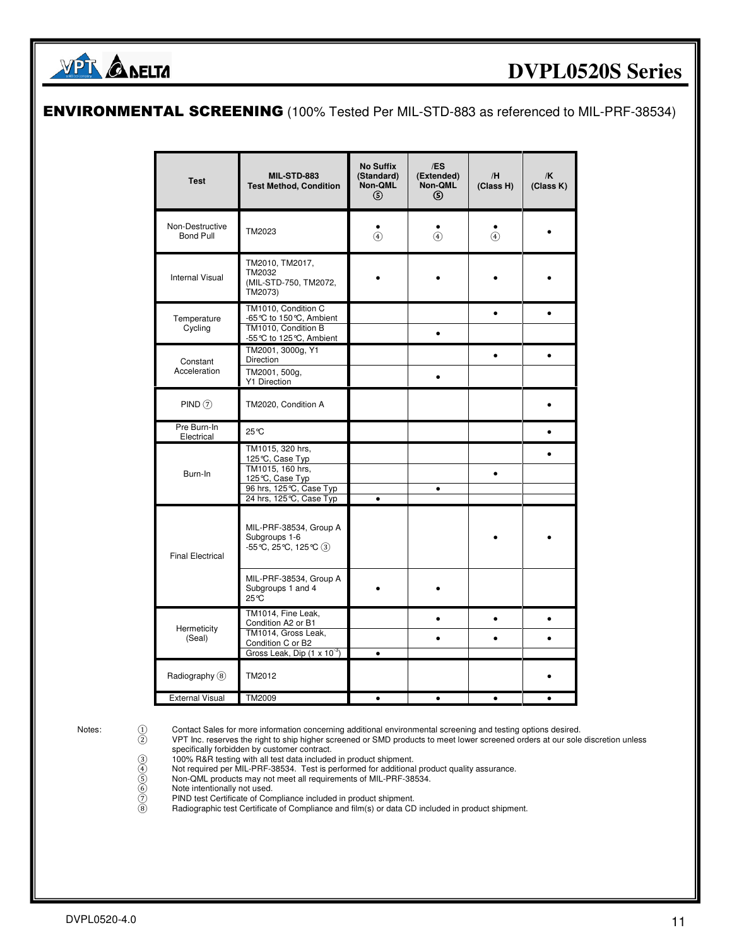![](_page_10_Picture_0.jpeg)

#### ENVIRONMENTAL SCREENING (100% Tested Per MIL-STD-883 as referenced to MIL-PRF-38534)

| <b>Test</b>                         | <b>MIL-STD-883</b><br><b>Test Method, Condition</b>                                                  | <b>No Suffix</b><br>(Standard)<br>Non-QML<br>ග | /ES<br>(Extended)<br>Non-QML<br><b>(5)</b> | /H<br>(Class H) | /K<br>(Class K) |
|-------------------------------------|------------------------------------------------------------------------------------------------------|------------------------------------------------|--------------------------------------------|-----------------|-----------------|
| Non-Destructive<br><b>Bond Pull</b> | TM2023                                                                                               | $\circled{4}$                                  | $\circledast$                              | $\circled{4}$   |                 |
| <b>Internal Visual</b>              | TM2010, TM2017,<br>TM2032<br>(MIL-STD-750, TM2072,<br>TM2073)                                        |                                                |                                            |                 |                 |
| Temperature<br>Cycling              | TM1010, Condition C<br>-65 °C to 150 °C, Ambient<br>TM1010, Condition B<br>-55 ℃ to 125 ℃, Ambient   |                                                | $\bullet$                                  |                 |                 |
| Constant<br>Acceleration            | TM2001, 3000g, Y1<br>Direction<br>TM2001, 500g,<br>Y1 Direction                                      |                                                | ٠                                          | $\bullet$       |                 |
| PIND(7)                             | TM2020, Condition A                                                                                  |                                                |                                            |                 |                 |
| Pre Burn-In<br>Electrical           | 25℃                                                                                                  |                                                |                                            |                 |                 |
| Burn-In                             | TM1015, 320 hrs,<br>125℃, Case Typ<br>TM1015, 160 hrs,<br>125°C, Case Typ<br>96 hrs, 125°C, Case Typ |                                                | $\bullet$                                  | $\bullet$       |                 |
|                                     | 24 hrs, 125°C, Case Typ                                                                              | $\bullet$                                      |                                            |                 |                 |
| <b>Final Electrical</b>             | MIL-PRF-38534, Group A<br>Subgroups 1-6<br>$-55^{\circ}C$ , 25 $^{\circ}C$ , 125 $^{\circ}C$ (3)     |                                                |                                            |                 |                 |
|                                     | MIL-PRF-38534, Group A<br>Subgroups 1 and 4<br>25°C                                                  |                                                |                                            |                 |                 |
| Hermeticity                         | TM1014, Fine Leak,<br>Condition A2 or B1<br>TM1014, Gross Leak,                                      |                                                |                                            | $\bullet$       |                 |
| (Seal)                              | Condition C or B2<br>Gross Leak, Dip $(1 \times 10^{-3})$                                            | $\bullet$                                      |                                            |                 |                 |
| Radiography (8)                     | TM2012                                                                                               |                                                |                                            |                 |                 |
| <b>External Visual</b>              | TM2009                                                                                               | $\bullet$                                      | $\bullet$                                  | $\bullet$       |                 |

Notes: 0 Contact Sales for more information concerning additional environmental screening and testing options desired.<br>VPT Inc. reserves the right to ship higher screened or SMD products to meet lower screened orders at ou

 ② VPT Inc. reserves the right to ship higher screened or SMD products to meet lower screened orders at our sole discretion unless specifically forbidden by customer contract.

- ③ 100% R&R testing with all test data included in product shipment.
- ④ Not required per MIL-PRF-38534. Test is performed for additional product quality assurance.
	-
	- Note intentionally not used.
- 0 100% R&R testing with all test data included in product shipment.<br>
(4) Not required per MIL-PRF-38534. Test is performed for additional proof<br>
(5) Non-QML products may not meet all requirements of MIL-PRF-38534.<br>
(6) PIN PIND test Certificate of Compliance included in product shipment.
	- Radiographic test Certificate of Compliance and film(s) or data CD included in product shipment.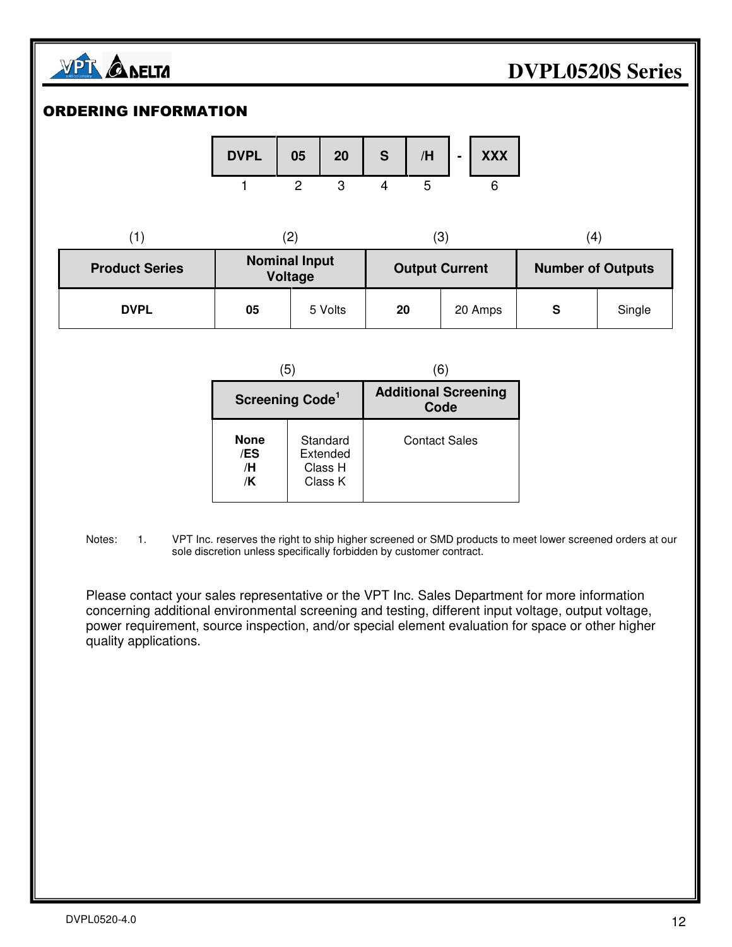![](_page_11_Picture_0.jpeg)

#### ORDERING INFORMATION

![](_page_11_Figure_3.jpeg)

|                       | ۔ ے ،                           |         | (3)                   |         | $\left( 4 \right)$       |        |
|-----------------------|---------------------------------|---------|-----------------------|---------|--------------------------|--------|
| <b>Product Series</b> | <b>Nominal Input</b><br>Voltage |         | <b>Output Current</b> |         | <b>Number of Outputs</b> |        |
| <b>DVPL</b>           | 05                              | 5 Volts | 20                    | 20 Amps | S                        | Single |

| (5)                            |                                            | 61                                  |  |  |
|--------------------------------|--------------------------------------------|-------------------------------------|--|--|
| Screening Code <sup>1</sup>    |                                            | <b>Additional Screening</b><br>Code |  |  |
| <b>None</b><br>/ES<br>/H<br>/K | Standard<br>Extended<br>Class H<br>Class K | <b>Contact Sales</b>                |  |  |

Notes: 1. VPT Inc. reserves the right to ship higher screened or SMD products to meet lower screened orders at our sole discretion unless specifically forbidden by customer contract.

 Please contact your sales representative or the VPT Inc. Sales Department for more information concerning additional environmental screening and testing, different input voltage, output voltage, power requirement, source inspection, and/or special element evaluation for space or other higher quality applications.